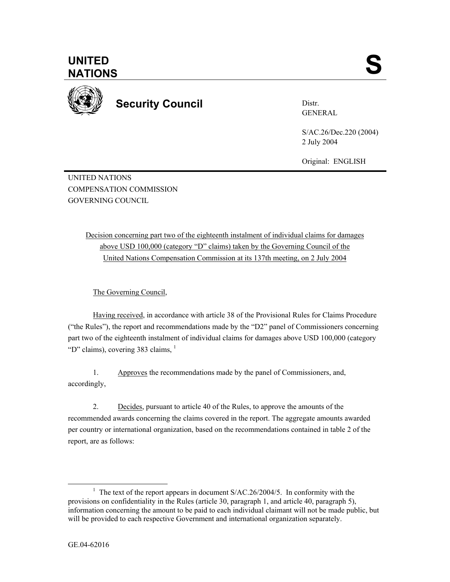

**Security Council** 

Distr. GENERAL

S/AC.26/Dec.220 (2004) 2 July 2004

Original: ENGLISH

UNITED NATIONS COMPENSATION COMMISSION GOVERNING COUNCIL

> Decision concerning part two of the eighteenth instalment of individual claims for damages above USD 100,000 (category "D" claims) taken by the Governing Council of the United Nations Compensation Commission at its 137th meeting, on 2 July 2004

The Governing Council,

Having received, in accordance with article 38 of the Provisional Rules for Claims Procedure ("the Rules"), the report and recommendations made by the "D2" panel of Commissioners concerning part two of the eighteenth instalment of individual claims for damages above USD 100,000 (category "D" claims), covering 383 claims,  $<sup>1</sup>$ </sup>

1. Approves the recommendations made by the panel of Commissioners, and, accordingly,

2. Decides, pursuant to article 40 of the Rules, to approve the amounts of the recommended awards concerning the claims covered in the report. The aggregate amounts awarded per country or international organization, based on the recommendations contained in table 2 of the report, are as follows:

 $\begin{array}{c|c}\n\hline\n\end{array}$ <sup>1</sup> The text of the report appears in document  $S/AC.26/2004/5$ . In conformity with the provisions on confidentiality in the Rules (article 30, paragraph 1, and article 40, paragraph 5), information concerning the amount to be paid to each individual claimant will not be made public, but will be provided to each respective Government and international organization separately.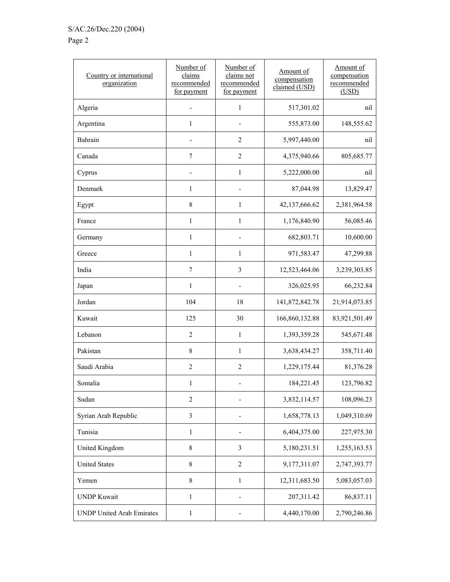## Page 2

| Country or international<br>organization | Number of<br>claims<br>recommended<br>for payment | Number of<br>claims not<br>recommended<br>for payment | Amount of<br>compensation<br>claimed (USD) | Amount of<br>compensation<br>recommended<br>(USD) |
|------------------------------------------|---------------------------------------------------|-------------------------------------------------------|--------------------------------------------|---------------------------------------------------|
| Algeria                                  |                                                   | 1                                                     | 517,301.02                                 | nil                                               |
| Argentina                                | $\mathbf{1}$                                      |                                                       | 555,873.00                                 | 148,555.62                                        |
| Bahrain                                  |                                                   | $\overline{c}$                                        | 5,997,440.00                               | nil                                               |
| Canada                                   | $\boldsymbol{7}$                                  | $\overline{2}$                                        | 4,375,940.66                               | 805,685.77                                        |
| Cyprus                                   | $\qquad \qquad \blacksquare$                      | $\mathbf{1}$                                          | 5,222,000.00                               | nil                                               |
| Denmark                                  | 1                                                 |                                                       | 87,044.98                                  | 13,829.47                                         |
| Egypt                                    | 8                                                 | 1                                                     | 42,137,666.62                              | 2,381,964.58                                      |
| France                                   | $\mathbf{1}$                                      | $\mathbf{1}$                                          | 1,176,840.90                               | 56,085.46                                         |
| Germany                                  | 1                                                 |                                                       | 682,803.71                                 | 10,600.00                                         |
| Greece                                   | 1                                                 | $\mathbf{1}$                                          | 971,583.47                                 | 47,299.88                                         |
| India                                    | $\overline{7}$                                    | 3                                                     | 12,523,464.06                              | 3,239,303.85                                      |
| Japan                                    | 1                                                 |                                                       | 326,025.95                                 | 66,232.84                                         |
| Jordan                                   | 104                                               | 18                                                    | 141,872,842.78                             | 21,914,073.85                                     |
| Kuwait                                   | 125                                               | 30                                                    | 166,860,132.88                             | 83,921,501.49                                     |
| Lebanon                                  | $\overline{2}$                                    | $\mathbf{1}$                                          | 1,393,359.28                               | 545,671.48                                        |
| Pakistan                                 | 8                                                 | $\mathbf{1}$                                          | 3,638,434.27                               | 358,711.40                                        |
| Saudi Arabia                             | $\overline{2}$                                    | $\overline{2}$                                        | 1,229,175.44                               | 81,376.28                                         |
| Somalia                                  | 1                                                 |                                                       | 184,221.45                                 | 123,796.82                                        |
| Sudan                                    | $\overline{2}$                                    |                                                       | 3,832,114.57                               | 108,096.23                                        |
| Syrian Arab Republic                     | $\mathfrak{Z}$                                    |                                                       | 1,658,778.13                               | 1,049,310.69                                      |
| Tunisia                                  | $\mathbf{1}$                                      |                                                       | 6,404,375.00                               | 227,975.30                                        |
| United Kingdom                           | $\,$ $\,$                                         | 3                                                     | 5,180,231.51                               | 1,255,163.53                                      |
| <b>United States</b>                     | $\,$ 8 $\,$                                       | $\overline{2}$                                        | 9,177,311.07                               | 2,747,393.77                                      |
| Yemen                                    | $\,$ 8 $\,$                                       | $\mathbf{1}$                                          | 12,311,683.50                              | 5,083,057.03                                      |
| <b>UNDP Kuwait</b>                       | $\mathbf{1}$                                      |                                                       | 207,311.42                                 | 86,837.11                                         |
| <b>UNDP United Arab Emirates</b>         | 1                                                 |                                                       | 4,440,170.00                               | 2,790,246.86                                      |